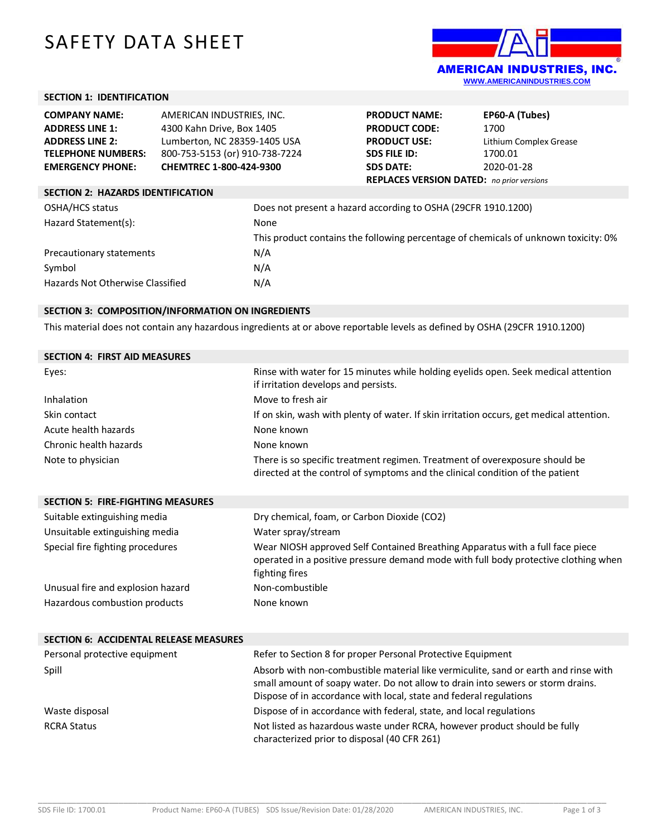# SAFETY DATA SHEET



# **SECTION 1: IDENTIFICATION**

| <b>COMPANY NAME:</b>                     | AMERICAN INDUSTRIES, INC.      |      | <b>PRODUCT NAME:</b>                                          | EP60-A (Tubes)                                                                      |
|------------------------------------------|--------------------------------|------|---------------------------------------------------------------|-------------------------------------------------------------------------------------|
| <b>ADDRESS LINE 1:</b>                   | 4300 Kahn Drive, Box 1405      |      | <b>PRODUCT CODE:</b>                                          | 1700                                                                                |
| <b>ADDRESS LINE 2:</b>                   | Lumberton, NC 28359-1405 USA   |      | <b>PRODUCT USE:</b>                                           | Lithium Complex Grease                                                              |
| <b>TELEPHONE NUMBERS:</b>                | 800-753-5153 (or) 910-738-7224 |      | <b>SDS FILE ID:</b>                                           | 1700.01                                                                             |
| <b>EMERGENCY PHONE:</b>                  | CHEMTREC 1-800-424-9300        |      | <b>SDS DATE:</b>                                              | 2020-01-28                                                                          |
|                                          |                                |      | <b>REPLACES VERSION DATED:</b> no prior versions              |                                                                                     |
| <b>SECTION 2: HAZARDS IDENTIFICATION</b> |                                |      |                                                               |                                                                                     |
| OSHA/HCS status                          |                                |      | Does not present a hazard according to OSHA (29CFR 1910.1200) |                                                                                     |
| Hazard Statement(s):                     |                                | None |                                                               |                                                                                     |
|                                          |                                |      |                                                               | This product contains the following percentage of chemicals of unknown toxicity: 0% |
| Precautionary statements                 |                                | N/A  |                                                               |                                                                                     |
| Symbol                                   |                                | N/A  |                                                               |                                                                                     |
| Hazards Not Otherwise Classified         |                                | N/A  |                                                               |                                                                                     |

# **SECTION 3: COMPOSITION/INFORMATION ON INGREDIENTS**

This material does not contain any hazardous ingredients at or above reportable levels as defined by OSHA (29CFR 1910.1200)

| Rinse with water for 15 minutes while holding eyelids open. Seek medical attention<br>if irritation develops and persists.                                   |
|--------------------------------------------------------------------------------------------------------------------------------------------------------------|
| Move to fresh air                                                                                                                                            |
| If on skin, wash with plenty of water. If skin irritation occurs, get medical attention.                                                                     |
| None known                                                                                                                                                   |
| None known                                                                                                                                                   |
| There is so specific treatment regimen. Treatment of overexposure should be<br>directed at the control of symptoms and the clinical condition of the patient |
|                                                                                                                                                              |

| <b>SECTION 5: FIRE-FIGHTING MEASURES</b> |                                                                                                                                                                                        |
|------------------------------------------|----------------------------------------------------------------------------------------------------------------------------------------------------------------------------------------|
| Suitable extinguishing media             | Dry chemical, foam, or Carbon Dioxide (CO2)                                                                                                                                            |
| Unsuitable extinguishing media           | Water spray/stream                                                                                                                                                                     |
| Special fire fighting procedures         | Wear NIOSH approved Self Contained Breathing Apparatus with a full face piece<br>operated in a positive pressure demand mode with full body protective clothing when<br>fighting fires |
| Unusual fire and explosion hazard        | Non-combustible                                                                                                                                                                        |
| Hazardous combustion products            | None known                                                                                                                                                                             |

| <b>SECTION 6: ACCIDENTAL RELEASE MEASURES</b> |                                                                                                                                                                                                                                              |
|-----------------------------------------------|----------------------------------------------------------------------------------------------------------------------------------------------------------------------------------------------------------------------------------------------|
| Personal protective equipment                 | Refer to Section 8 for proper Personal Protective Equipment                                                                                                                                                                                  |
| Spill                                         | Absorb with non-combustible material like vermiculite, sand or earth and rinse with<br>small amount of soapy water. Do not allow to drain into sewers or storm drains.<br>Dispose of in accordance with local, state and federal regulations |
| Waste disposal                                | Dispose of in accordance with federal, state, and local regulations                                                                                                                                                                          |
| <b>RCRA Status</b>                            | Not listed as hazardous waste under RCRA, however product should be fully<br>characterized prior to disposal (40 CFR 261)                                                                                                                    |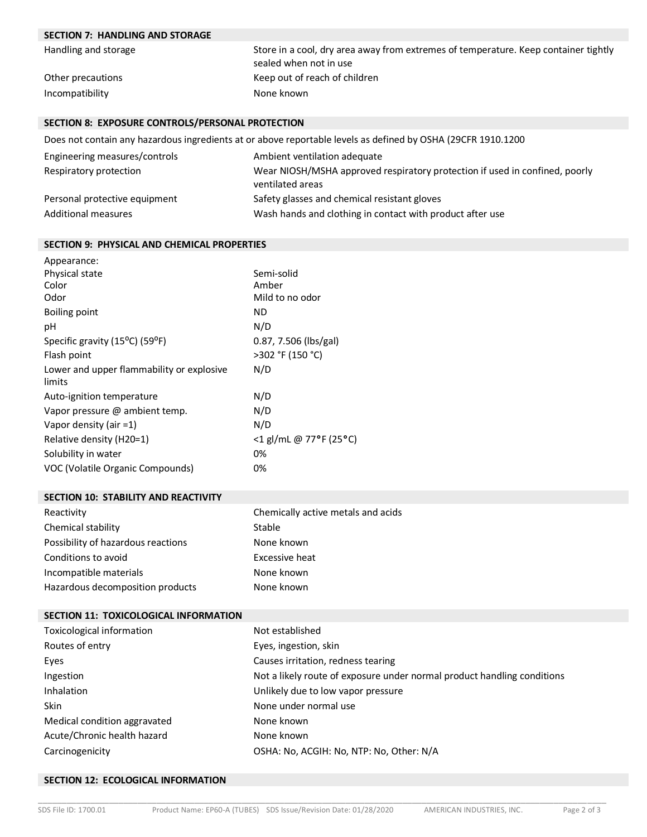# **SECTION 7: HANDLING AND STORAGE**

| Handling and storage | Store in a cool, dry area away from extremes of temperature. Keep container tightly |
|----------------------|-------------------------------------------------------------------------------------|
|                      | sealed when not in use                                                              |
| Other precautions    | Keep out of reach of children                                                       |
| Incompatibility      | None known                                                                          |

## **SECTION 8: EXPOSURE CONTROLS/PERSONAL PROTECTION**

Does not contain any hazardous ingredients at or above reportable levels as defined by OSHA (29CFR 1910.1200

| Engineering measures/controls | Ambient ventilation adequate                                                                    |
|-------------------------------|-------------------------------------------------------------------------------------------------|
| Respiratory protection        | Wear NIOSH/MSHA approved respiratory protection if used in confined, poorly<br>ventilated areas |
| Personal protective equipment | Safety glasses and chemical resistant gloves                                                    |
| <b>Additional measures</b>    | Wash hands and clothing in contact with product after use                                       |

#### **SECTION 9: PHYSICAL AND CHEMICAL PROPERTIES**

| Appearance:                                              |                        |
|----------------------------------------------------------|------------------------|
| Physical state                                           | Semi-solid             |
| Color                                                    | Amber                  |
| Odor                                                     | Mild to no odor        |
| Boiling point                                            | ΝD                     |
| рH                                                       | N/D                    |
| Specific gravity (15 <sup>o</sup> C) (59 <sup>o</sup> F) | 0.87, 7.506 (lbs/gal)  |
| Flash point                                              | >302 °F (150 °C)       |
| Lower and upper flammability or explosive<br>limits      | N/D                    |
| Auto-ignition temperature                                | N/D                    |
| Vapor pressure @ ambient temp.                           | N/D                    |
| Vapor density (air $=1$ )                                | N/D                    |
| Relative density (H20=1)                                 | <1 gl/mL @ 77°F (25°C) |
| Solubility in water                                      | 0%                     |
| VOC (Volatile Organic Compounds)                         | 0%                     |

#### **SECTION 10: STABILITY AND REACTIVITY**

| Reactivity                         | Chemically active metals and acids |
|------------------------------------|------------------------------------|
| Chemical stability                 | Stable                             |
| Possibility of hazardous reactions | None known                         |
| Conditions to avoid                | Excessive heat                     |
| Incompatible materials             | None known                         |
| Hazardous decomposition products   | None known                         |

# **SECTION 11: TOXICOLOGICAL INFORMATION**

| Toxicological information    | Not established                                                         |
|------------------------------|-------------------------------------------------------------------------|
| Routes of entry              | Eyes, ingestion, skin                                                   |
| Eyes                         | Causes irritation, redness tearing                                      |
| Ingestion                    | Not a likely route of exposure under normal product handling conditions |
| Inhalation                   | Unlikely due to low vapor pressure                                      |
| <b>Skin</b>                  | None under normal use                                                   |
| Medical condition aggravated | None known                                                              |
| Acute/Chronic health hazard  | None known                                                              |
| Carcinogenicity              | OSHA: No, ACGIH: No, NTP: No, Other: N/A                                |

\_\_\_\_\_\_\_\_\_\_\_\_\_\_\_\_\_\_\_\_\_\_\_\_\_\_\_\_\_\_\_\_\_\_\_\_\_\_\_\_\_\_\_\_\_\_\_\_\_\_\_\_\_\_\_\_\_\_\_\_\_\_\_\_\_\_\_\_\_\_\_\_\_\_\_\_\_\_\_\_\_\_\_\_\_\_\_\_\_\_\_\_\_\_\_\_\_\_\_\_\_\_\_\_\_\_\_\_\_\_\_\_\_\_\_\_\_\_\_\_

#### **SECTION 12: ECOLOGICAL INFORMATION**